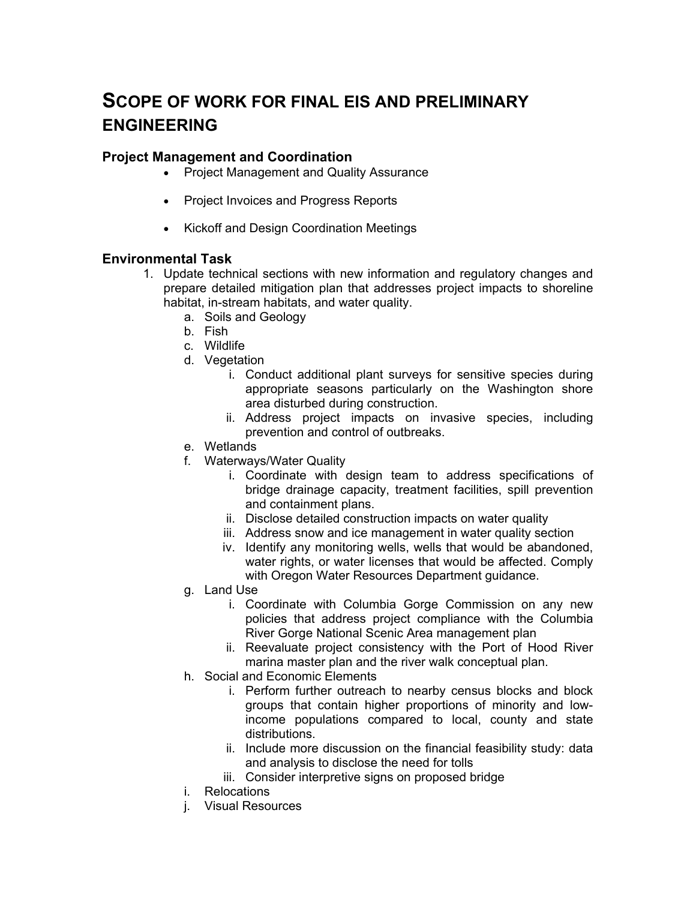# **SCOPE OF WORK FOR FINAL EIS AND PRELIMINARY ENGINEERING**

#### **Project Management and Coordination**

- Project Management and Quality Assurance
- Project Invoices and Progress Reports
- Kickoff and Design Coordination Meetings

# **Environmental Task**

- 1. Update technical sections with new information and regulatory changes and prepare detailed mitigation plan that addresses project impacts to shoreline habitat, in-stream habitats, and water quality.
	- a. Soils and Geology
	- b. Fish
	- c. Wildlife
	- d. Vegetation
		- i. Conduct additional plant surveys for sensitive species during appropriate seasons particularly on the Washington shore area disturbed during construction.
		- ii. Address project impacts on invasive species, including prevention and control of outbreaks.
	- e. Wetlands
	- f. Waterways/Water Quality
		- i. Coordinate with design team to address specifications of bridge drainage capacity, treatment facilities, spill prevention and containment plans.
		- ii. Disclose detailed construction impacts on water quality
		- iii. Address snow and ice management in water quality section
		- iv. Identify any monitoring wells, wells that would be abandoned, water rights, or water licenses that would be affected. Comply with Oregon Water Resources Department guidance.
	- g. Land Use
		- i. Coordinate with Columbia Gorge Commission on any new policies that address project compliance with the Columbia River Gorge National Scenic Area management plan
		- ii. Reevaluate project consistency with the Port of Hood River marina master plan and the river walk conceptual plan.
	- h. Social and Economic Elements
		- i. Perform further outreach to nearby census blocks and block groups that contain higher proportions of minority and lowincome populations compared to local, county and state distributions.
		- ii. Include more discussion on the financial feasibility study: data and analysis to disclose the need for tolls
		- iii. Consider interpretive signs on proposed bridge
	- i. Relocations
	- j. Visual Resources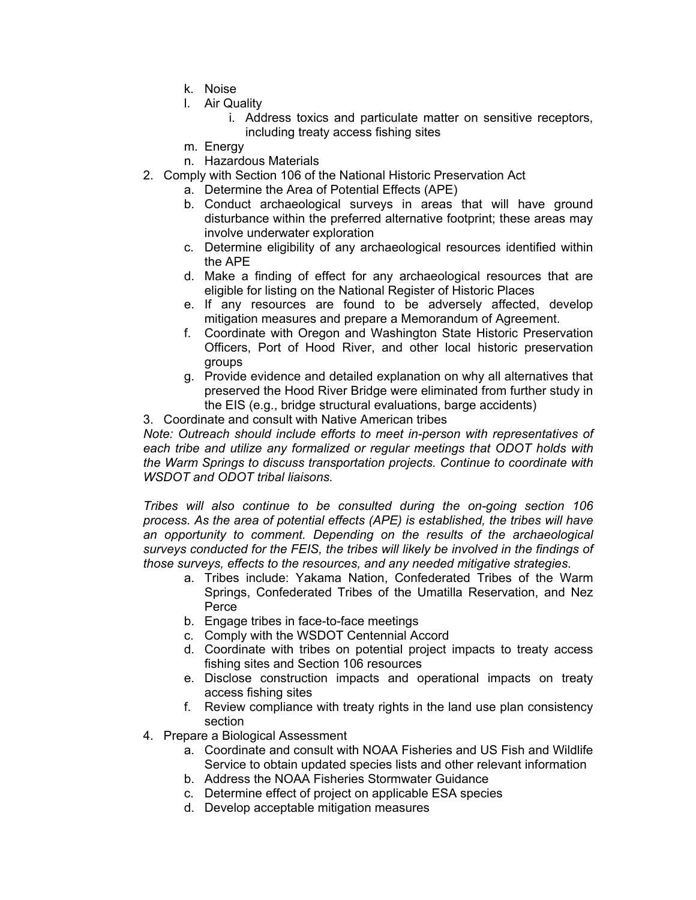- k. Noise
- l. Air Quality
	- i. Address toxics and particulate matter on sensitive receptors, including treaty access fishing sites
- m. Energy
- n. Hazardous Materials
- 2. Comply with Section 106 of the National Historic Preservation Act
	- a. Determine the Area of Potential Effects (APE)
	- b. Conduct archaeological surveys in areas that will have ground disturbance within the preferred alternative footprint; these areas may involve underwater exploration
	- c. Determine eligibility of any archaeological resources identified within the APE
	- d. Make a finding of effect for any archaeological resources that are eligible for listing on the National Register of Historic Places
	- e. If any resources are found to be adversely affected, develop mitigation measures and prepare a Memorandum of Agreement.
	- f. Coordinate with Oregon and Washington State Historic Preservation Officers, Port of Hood River, and other local historic preservation groups
	- g. Provide evidence and detailed explanation on why all alternatives that preserved the Hood River Bridge were eliminated from further study in the EIS (e.g., bridge structural evaluations, barge accidents)
- 3. Coordinate and consult with Native American tribes

*Note: Outreach should include efforts to meet in-person with representatives of each tribe and utilize any formalized or regular meetings that ODOT holds with the Warm Springs to discuss transportation projects. Continue to coordinate with WSDOT and ODOT tribal liaisons.* 

*Tribes will also continue to be consulted during the on-going section 106 process. As the area of potential effects (APE) is established, the tribes will have an opportunity to comment. Depending on the results of the archaeological surveys conducted for the FEIS, the tribes will likely be involved in the findings of those surveys, effects to the resources, and any needed mitigative strategies*.

- a. Tribes include: Yakama Nation, Confederated Tribes of the Warm Springs, Confederated Tribes of the Umatilla Reservation, and Nez Perce
- b. Engage tribes in face-to-face meetings
- c. Comply with the WSDOT Centennial Accord
- d. Coordinate with tribes on potential project impacts to treaty access fishing sites and Section 106 resources
- e. Disclose construction impacts and operational impacts on treaty access fishing sites
- f. Review compliance with treaty rights in the land use plan consistency section
- 4. Prepare a Biological Assessment
	- a. Coordinate and consult with NOAA Fisheries and US Fish and Wildlife Service to obtain updated species lists and other relevant information
	- b. Address the NOAA Fisheries Stormwater Guidance
	- c. Determine effect of project on applicable ESA species
	- d. Develop acceptable mitigation measures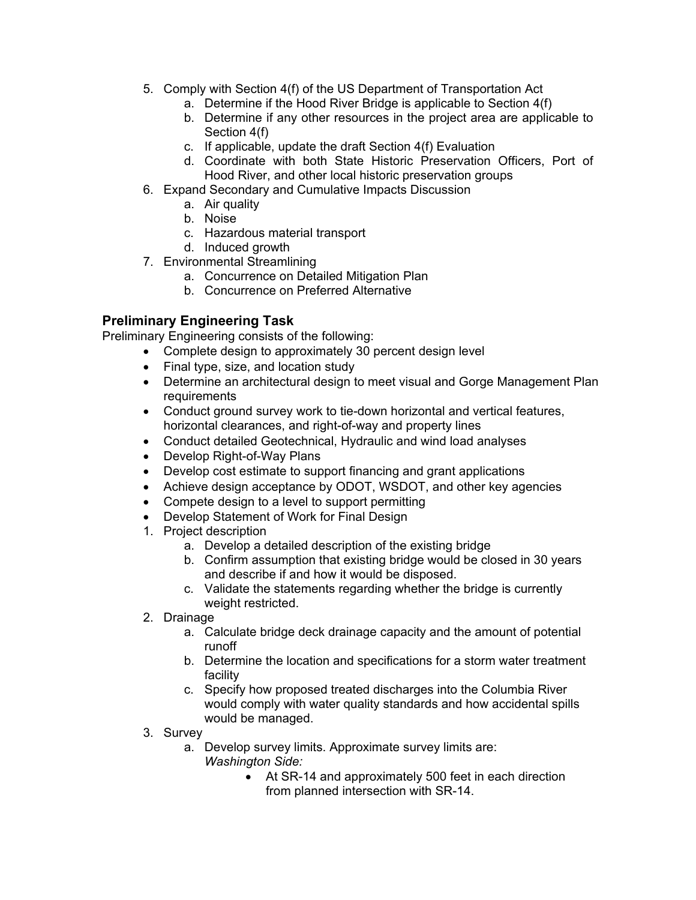- 5. Comply with Section 4(f) of the US Department of Transportation Act
	- a. Determine if the Hood River Bridge is applicable to Section 4(f)
	- b. Determine if any other resources in the project area are applicable to Section 4(f)
	- c. If applicable, update the draft Section 4(f) Evaluation
	- d. Coordinate with both State Historic Preservation Officers, Port of Hood River, and other local historic preservation groups
- 6. Expand Secondary and Cumulative Impacts Discussion
	- a. Air quality
	- b. Noise
	- c. Hazardous material transport
	- d. Induced growth
- 7. Environmental Streamlining
	- a. Concurrence on Detailed Mitigation Plan
	- b. Concurrence on Preferred Alternative

# **Preliminary Engineering Task**

Preliminary Engineering consists of the following:

- Complete design to approximately 30 percent design level
- Final type, size, and location study
- Determine an architectural design to meet visual and Gorge Management Plan requirements
- Conduct ground survey work to tie-down horizontal and vertical features, horizontal clearances, and right-of-way and property lines
- Conduct detailed Geotechnical, Hydraulic and wind load analyses
- Develop Right-of-Way Plans
- Develop cost estimate to support financing and grant applications
- Achieve design acceptance by ODOT, WSDOT, and other key agencies
- Compete design to a level to support permitting
- Develop Statement of Work for Final Design
- 1. Project description
	- a. Develop a detailed description of the existing bridge
	- b. Confirm assumption that existing bridge would be closed in 30 years and describe if and how it would be disposed.
	- c. Validate the statements regarding whether the bridge is currently weight restricted.
- 2. Drainage
	- a. Calculate bridge deck drainage capacity and the amount of potential runoff
	- b. Determine the location and specifications for a storm water treatment facility
	- c. Specify how proposed treated discharges into the Columbia River would comply with water quality standards and how accidental spills would be managed.
- 3. Survey
	- a. Develop survey limits. Approximate survey limits are: *Washington Side:* 
		- At SR-14 and approximately 500 feet in each direction from planned intersection with SR-14.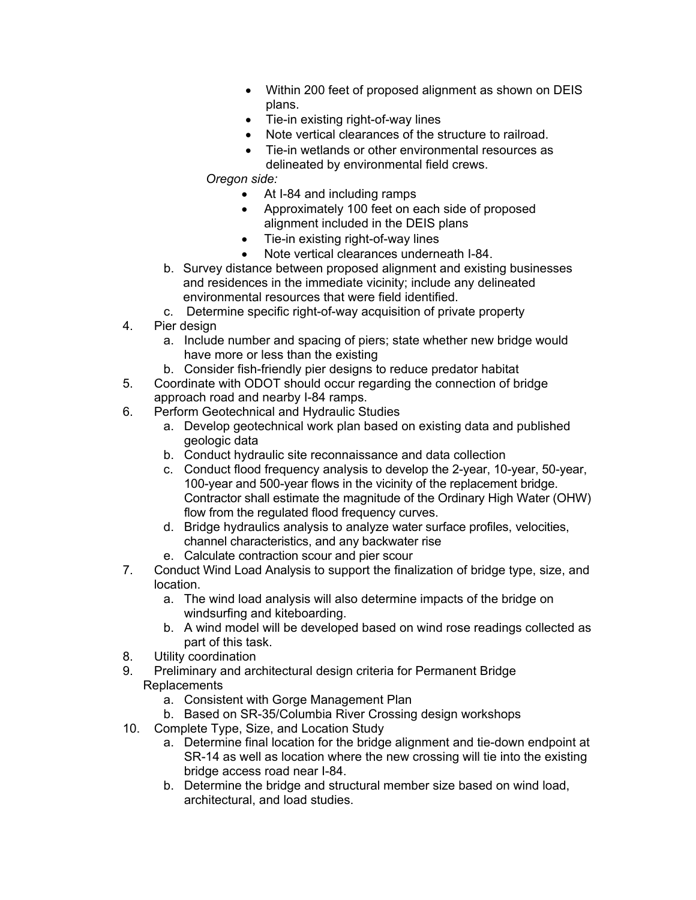- Within 200 feet of proposed alignment as shown on DEIS plans.
- Tie-in existing right-of-way lines
- Note vertical clearances of the structure to railroad.
- Tie-in wetlands or other environmental resources as delineated by environmental field crews.

### *Oregon side:*

- At I-84 and including ramps
- Approximately 100 feet on each side of proposed alignment included in the DEIS plans
- Tie-in existing right-of-way lines
- Note vertical clearances underneath I-84.
- b. Survey distance between proposed alignment and existing businesses and residences in the immediate vicinity; include any delineated environmental resources that were field identified.
- c. Determine specific right-of-way acquisition of private property
- 4. Pier design
	- a. Include number and spacing of piers; state whether new bridge would have more or less than the existing
	- b. Consider fish-friendly pier designs to reduce predator habitat
- 5. Coordinate with ODOT should occur regarding the connection of bridge approach road and nearby I-84 ramps.
- 6. Perform Geotechnical and Hydraulic Studies
	- a. Develop geotechnical work plan based on existing data and published geologic data
	- b. Conduct hydraulic site reconnaissance and data collection
	- c. Conduct flood frequency analysis to develop the 2-year, 10-year, 50-year, 100-year and 500-year flows in the vicinity of the replacement bridge. Contractor shall estimate the magnitude of the Ordinary High Water (OHW) flow from the regulated flood frequency curves.
	- d. Bridge hydraulics analysis to analyze water surface profiles, velocities, channel characteristics, and any backwater rise
	- e. Calculate contraction scour and pier scour
- 7. Conduct Wind Load Analysis to support the finalization of bridge type, size, and location.
	- a. The wind load analysis will also determine impacts of the bridge on windsurfing and kiteboarding.
	- b. A wind model will be developed based on wind rose readings collected as part of this task.
- 8. Utility coordination
- 9. Preliminary and architectural design criteria for Permanent Bridge Replacements
	- a. Consistent with Gorge Management Plan
	- b. Based on SR-35/Columbia River Crossing design workshops
- 10. Complete Type, Size, and Location Study
	- a. Determine final location for the bridge alignment and tie-down endpoint at SR-14 as well as location where the new crossing will tie into the existing bridge access road near I-84.
	- b. Determine the bridge and structural member size based on wind load, architectural, and load studies.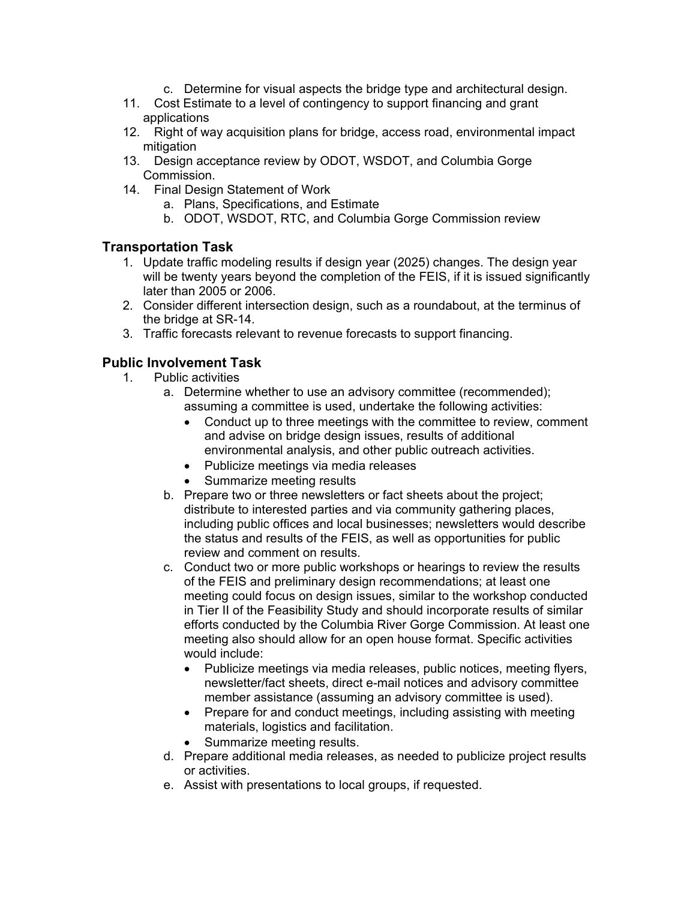- c. Determine for visual aspects the bridge type and architectural design.
- 11. Cost Estimate to a level of contingency to support financing and grant applications
- 12. Right of way acquisition plans for bridge, access road, environmental impact mitigation
- 13. Design acceptance review by ODOT, WSDOT, and Columbia Gorge Commission.
- 14. Final Design Statement of Work
	- a. Plans, Specifications, and Estimate
	- b. ODOT, WSDOT, RTC, and Columbia Gorge Commission review

#### **Transportation Task**

- 1. Update traffic modeling results if design year (2025) changes. The design year will be twenty years beyond the completion of the FEIS, if it is issued significantly later than 2005 or 2006.
- 2. Consider different intersection design, such as a roundabout, at the terminus of the bridge at SR-14.
- 3. Traffic forecasts relevant to revenue forecasts to support financing.

#### **Public Involvement Task**

- 1. Public activities
	- a. Determine whether to use an advisory committee (recommended); assuming a committee is used, undertake the following activities:
		- Conduct up to three meetings with the committee to review, comment and advise on bridge design issues, results of additional environmental analysis, and other public outreach activities.
		- Publicize meetings via media releases
		- Summarize meeting results
	- b. Prepare two or three newsletters or fact sheets about the project; distribute to interested parties and via community gathering places, including public offices and local businesses; newsletters would describe the status and results of the FEIS, as well as opportunities for public review and comment on results.
	- c. Conduct two or more public workshops or hearings to review the results of the FEIS and preliminary design recommendations; at least one meeting could focus on design issues, similar to the workshop conducted in Tier II of the Feasibility Study and should incorporate results of similar efforts conducted by the Columbia River Gorge Commission. At least one meeting also should allow for an open house format. Specific activities would include:
		- Publicize meetings via media releases, public notices, meeting flyers, newsletter/fact sheets, direct e-mail notices and advisory committee member assistance (assuming an advisory committee is used).
		- Prepare for and conduct meetings, including assisting with meeting materials, logistics and facilitation.
		- Summarize meeting results.
	- d. Prepare additional media releases, as needed to publicize project results or activities.
	- e. Assist with presentations to local groups, if requested.